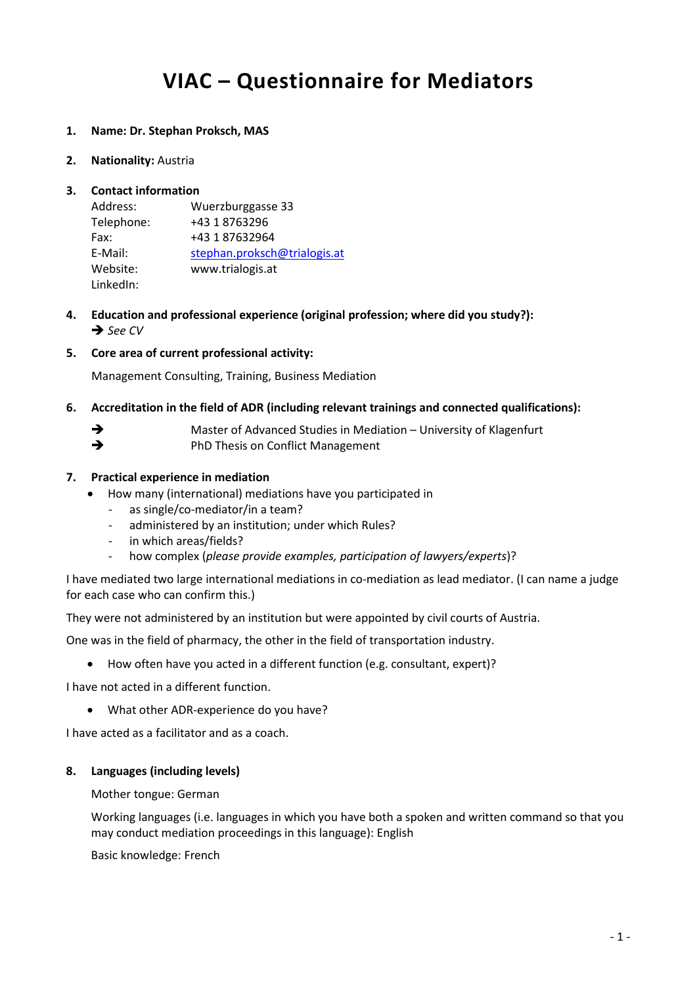# **VIAC – Questionnaire for Mediators**

### **1. Name: Dr. Stephan Proksch, MAS**

**2. Nationality:** Austria

## **3. Contact information**

| Address:   | Wuerzburggasse 33            |
|------------|------------------------------|
| Telephone: | +43 1 8763296                |
| Fax:       | +43 1 87632964               |
| E-Mail:    | stephan.proksch@trialogis.at |
| Website:   | www.trialogis.at             |
| LinkedIn:  |                              |

- **4. Education and professional experience (original profession; where did you study?):** *See CV*
- **5. Core area of current professional activity:**

Management Consulting, Training, Business Mediation

- **6. Accreditation in the field of ADR (including relevant trainings and connected qualifications):**
	- → Master of Advanced Studies in Mediation University of Klagenfurt
	- PhD Thesis on Conflict Management

#### **7. Practical experience in mediation**

- How many (international) mediations have you participated in
	- as single/co-mediator/in a team?
	- administered by an institution; under which Rules?
	- in which areas/fields?
	- how complex (*please provide examples, participation of lawyers/experts*)?

I have mediated two large international mediations in co-mediation as lead mediator. (I can name a judge for each case who can confirm this.)

They were not administered by an institution but were appointed by civil courts of Austria.

One was in the field of pharmacy, the other in the field of transportation industry.

• How often have you acted in a different function (e.g. consultant, expert)?

I have not acted in a different function.

• What other ADR-experience do you have?

I have acted as a facilitator and as a coach.

#### **8. Languages (including levels)**

#### Mother tongue: German

Working languages (i.e. languages in which you have both a spoken and written command so that you may conduct mediation proceedings in this language): English

Basic knowledge: French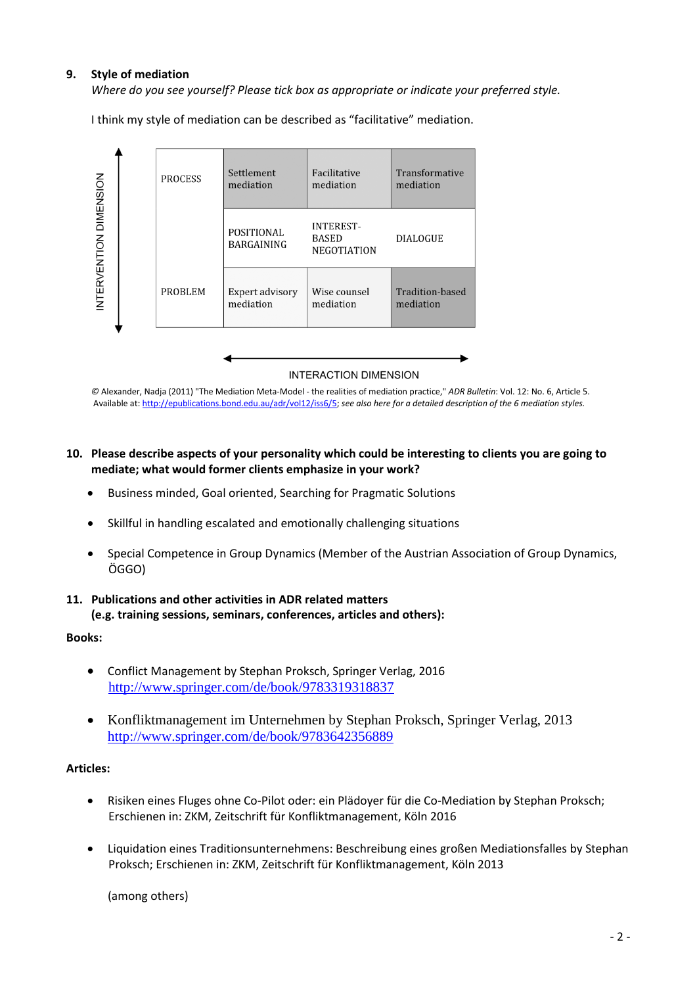## **9. Style of mediation**

*Where do you see yourself? Please tick box as appropriate or indicate your preferred style.*

I think my style of mediation can be described as "facilitative" mediation.



*©* Alexander, Nadja (2011) "The Mediation Meta-Model - the realities of mediation practice," *ADR Bulletin*: Vol. 12: No. 6, Article 5. Available at[: http://epublications.bond.edu.au/adr/vol12/iss6/5;](http://epublications.bond.edu.au/adr/vol12/iss6/5) *see also here for a detailed description of the 6 mediation styles.*

#### **10. Please describe aspects of your personality which could be interesting to clients you are going to mediate; what would former clients emphasize in your work?**

- Business minded, Goal oriented, Searching for Pragmatic Solutions
- Skillful in handling escalated and emotionally challenging situations
- Special Competence in Group Dynamics (Member of the Austrian Association of Group Dynamics, ÖGGO)

#### **11. Publications and other activities in ADR related matters (e.g. training sessions, seminars, conferences, articles and others):**

#### **Books:**

- Conflict Management by Stephan Proksch, Springer Verlag, 2016 <http://www.springer.com/de/book/9783319318837>
- Konfliktmanagement im Unternehmen by Stephan Proksch, Springer Verlag, 2013 <http://www.springer.com/de/book/9783642356889>

#### **Articles:**

- Risiken eines Fluges ohne Co-Pilot oder: ein Plädoyer für die Co-Mediation by Stephan Proksch; Erschienen in: ZKM, Zeitschrift für Konfliktmanagement, Köln 2016
- Liquidation eines Traditionsunternehmens: Beschreibung eines großen Mediationsfalles by Stephan Proksch; Erschienen in: ZKM, Zeitschrift für Konfliktmanagement, Köln 2013

(among others)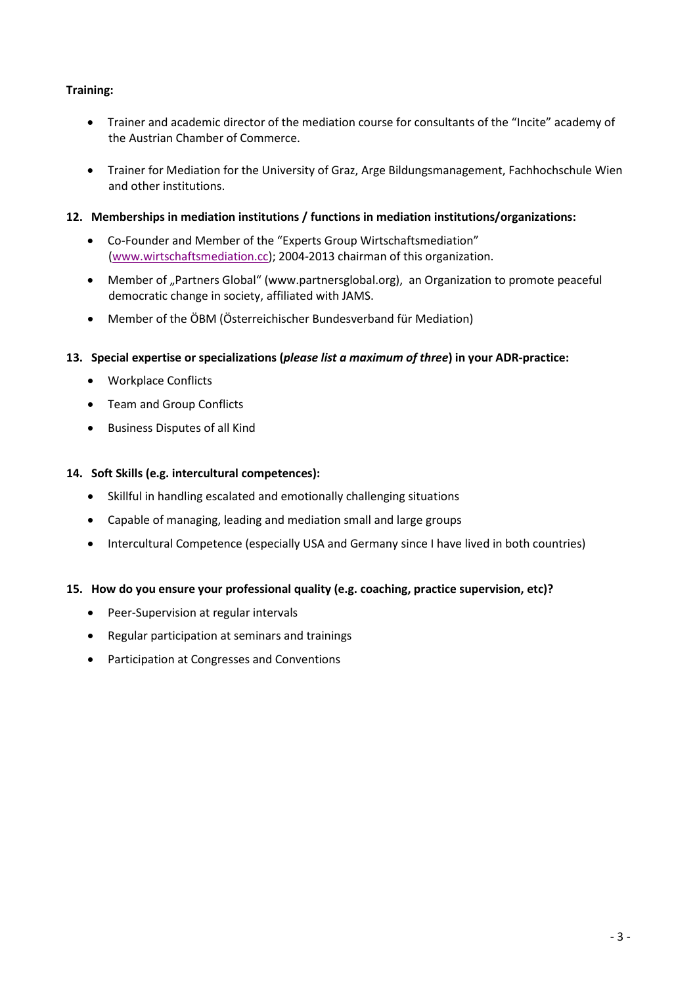## **Training:**

- Trainer and academic director of the mediation course for consultants of the "Incite" academy of the Austrian Chamber of Commerce.
- Trainer for Mediation for the University of Graz, Arge Bildungsmanagement, Fachhochschule Wien and other institutions.

## **12. Memberships in mediation institutions / functions in mediation institutions/organizations:**

- Co-Founder and Member of the "Experts Group Wirtschaftsmediation" [\(www.wirtschaftsmediation.cc\)](http://www.wirtschaftsmediation.cc/); 2004-2013 chairman of this organization.
- Member of "Partners Global" (www.partnersglobal.org), an Organization to promote peaceful democratic change in society, affiliated with JAMS.
- Member of the ÖBM (Österreichischer Bundesverband für Mediation)
- **13. Special expertise or specializations (***please list a maximum of three***) in your ADR-practice:**
	- Workplace Conflicts
	- Team and Group Conflicts
	- Business Disputes of all Kind

## **14. Soft Skills (e.g. intercultural competences):**

- Skillful in handling escalated and emotionally challenging situations
- Capable of managing, leading and mediation small and large groups
- Intercultural Competence (especially USA and Germany since I have lived in both countries)

## **15. How do you ensure your professional quality (e.g. coaching, practice supervision, etc)?**

- Peer-Supervision at regular intervals
- Regular participation at seminars and trainings
- Participation at Congresses and Conventions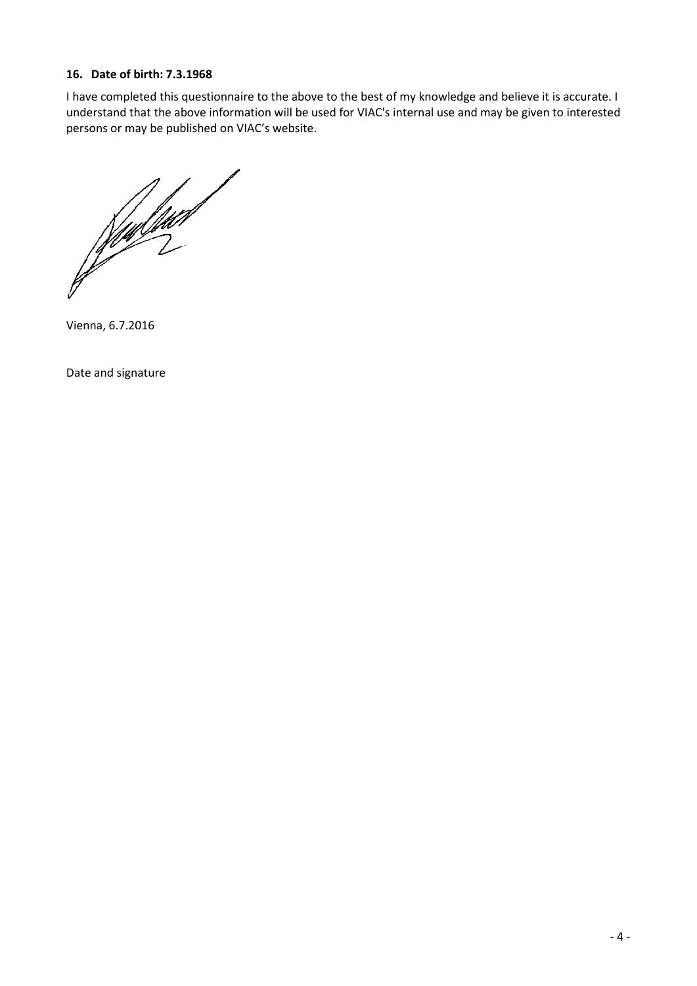## **16. Date of birth: 7.3.1968**

I have completed this questionnaire to the above to the best of my knowledge and believe it is accurate. I understand that the above information will be used for VIAC's internal use and may be given to interested persons or may be published on VIAC's website.

**Registrat** 

Vienna, 6.7.2016

Date and signature